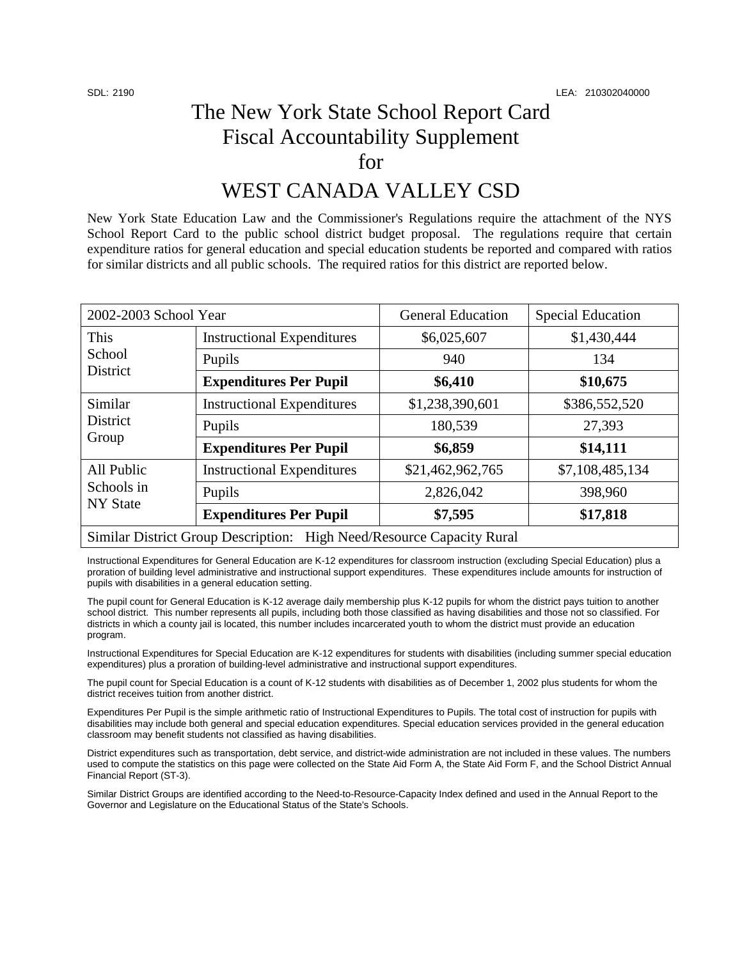## The New York State School Report Card Fiscal Accountability Supplement for

## WEST CANADA VALLEY CSD

New York State Education Law and the Commissioner's Regulations require the attachment of the NYS School Report Card to the public school district budget proposal. The regulations require that certain expenditure ratios for general education and special education students be reported and compared with ratios for similar districts and all public schools. The required ratios for this district are reported below.

| 2002-2003 School Year                                                 |                                   | <b>General Education</b> | <b>Special Education</b> |  |  |
|-----------------------------------------------------------------------|-----------------------------------|--------------------------|--------------------------|--|--|
| This<br>School<br>District                                            | <b>Instructional Expenditures</b> | \$6,025,607              | \$1,430,444              |  |  |
|                                                                       | Pupils                            | 940                      | 134                      |  |  |
|                                                                       | <b>Expenditures Per Pupil</b>     | \$6,410                  | \$10,675                 |  |  |
| Similar<br><b>District</b><br>Group                                   | <b>Instructional Expenditures</b> | \$1,238,390,601          | \$386,552,520            |  |  |
|                                                                       | Pupils                            | 180,539                  | 27,393                   |  |  |
|                                                                       | <b>Expenditures Per Pupil</b>     | \$6,859                  | \$14,111                 |  |  |
| All Public<br>Schools in<br><b>NY State</b>                           | <b>Instructional Expenditures</b> | \$21,462,962,765         | \$7,108,485,134          |  |  |
|                                                                       | Pupils                            | 2,826,042                | 398,960                  |  |  |
|                                                                       | <b>Expenditures Per Pupil</b>     | \$7,595                  | \$17,818                 |  |  |
| Similar District Group Description: High Need/Resource Capacity Rural |                                   |                          |                          |  |  |

Instructional Expenditures for General Education are K-12 expenditures for classroom instruction (excluding Special Education) plus a proration of building level administrative and instructional support expenditures. These expenditures include amounts for instruction of pupils with disabilities in a general education setting.

The pupil count for General Education is K-12 average daily membership plus K-12 pupils for whom the district pays tuition to another school district. This number represents all pupils, including both those classified as having disabilities and those not so classified. For districts in which a county jail is located, this number includes incarcerated youth to whom the district must provide an education program.

Instructional Expenditures for Special Education are K-12 expenditures for students with disabilities (including summer special education expenditures) plus a proration of building-level administrative and instructional support expenditures.

The pupil count for Special Education is a count of K-12 students with disabilities as of December 1, 2002 plus students for whom the district receives tuition from another district.

Expenditures Per Pupil is the simple arithmetic ratio of Instructional Expenditures to Pupils. The total cost of instruction for pupils with disabilities may include both general and special education expenditures. Special education services provided in the general education classroom may benefit students not classified as having disabilities.

District expenditures such as transportation, debt service, and district-wide administration are not included in these values. The numbers used to compute the statistics on this page were collected on the State Aid Form A, the State Aid Form F, and the School District Annual Financial Report (ST-3).

Similar District Groups are identified according to the Need-to-Resource-Capacity Index defined and used in the Annual Report to the Governor and Legislature on the Educational Status of the State's Schools.